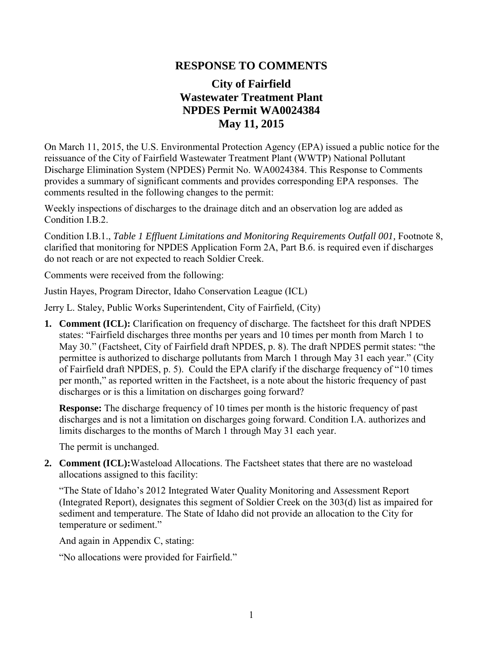## **RESPONSE TO COMMENTS**

## **City of Fairfield Wastewater Treatment Plant NPDES Permit WA0024384 May 11, 2015**

On March 11, 2015, the U.S. Environmental Protection Agency (EPA) issued a public notice for the reissuance of the City of Fairfield Wastewater Treatment Plant (WWTP) National Pollutant Discharge Elimination System (NPDES) Permit No. WA0024384. This Response to Comments provides a summary of significant comments and provides corresponding EPA responses.The comments resulted in the following changes to the permit:

Weekly inspections of discharges to the drainage ditch and an observation log are added as Condition I.B.2.

Condition I.B.1., *Table 1 Effluent Limitations and Monitoring Requirements Outfall 001,* Footnote 8, clarified that monitoring for NPDES Application Form 2A, Part B.6. is required even if discharges do not reach or are not expected to reach Soldier Creek.

Comments were received from the following:

Justin Hayes, Program Director, Idaho Conservation League (ICL)

Jerry L. Staley, Public Works Superintendent, City of Fairfield, (City)

**1. Comment (ICL):** Clarification on frequency of discharge. The factsheet for this draft NPDES states: "Fairfield discharges three months per years and 10 times per month from March 1 to May 30." (Factsheet, City of Fairfield draft NPDES, p. 8). The draft NPDES permit states: "the permittee is authorized to discharge pollutants from March 1 through May 31 each year." (City of Fairfield draft NPDES, p. 5). Could the EPA clarify if the discharge frequency of "10 times per month," as reported written in the Factsheet, is a note about the historic frequency of past discharges or is this a limitation on discharges going forward?

**Response:** The discharge frequency of 10 times per month is the historic frequency of past discharges and is not a limitation on discharges going forward. Condition I.A. authorizes and limits discharges to the months of March 1 through May 31 each year.

The permit is unchanged.

**2. Comment (ICL):**Wasteload Allocations. The Factsheet states that there are no wasteload allocations assigned to this facility:

"The State of Idaho's 2012 Integrated Water Quality Monitoring and Assessment Report (Integrated Report), designates this segment of Soldier Creek on the 303(d) list as impaired for sediment and temperature. The State of Idaho did not provide an allocation to the City for temperature or sediment."

And again in Appendix C, stating:

"No allocations were provided for Fairfield."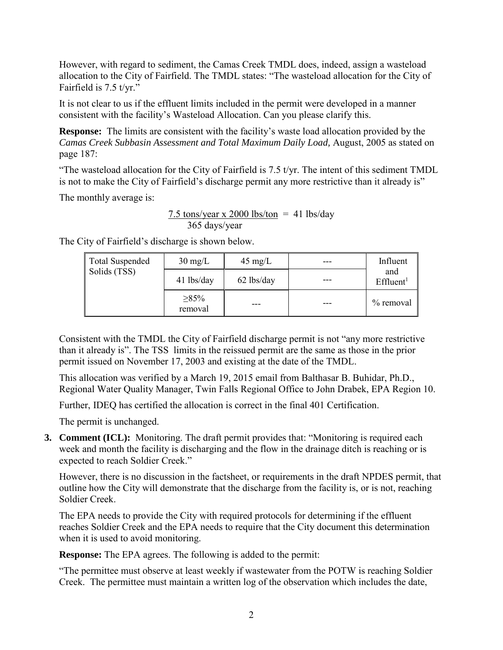However, with regard to sediment, the Camas Creek TMDL does, indeed, assign a wasteload allocation to the City of Fairfield. The TMDL states: "The wasteload allocation for the City of Fairfield is 7.5 t/yr."

It is not clear to us if the effluent limits included in the permit were developed in a manner consistent with the facility's Wasteload Allocation. Can you please clarify this.

**Response:** The limits are consistent with the facility's waste load allocation provided by the *Camas Creek Subbasin Assessment and Total Maximum Daily Load,* August, 2005 as stated on page 187:

"The wasteload allocation for the City of Fairfield is  $7.5$  t/yr. The intent of this sediment TMDL is not to make the City of Fairfield's discharge permit any more restrictive than it already is"

The monthly average is:

7.5 tons/year x 2000 lbs/ton = 41 lbs/day 365 days/year

Total Suspended Solids (TSS)  $30 \text{ mg/L}$  |  $45 \text{ mg/L}$  |  $\text{---}$  | Influent and<br>Effluent<sup>1</sup> 41 lbs/day  $-62$  lbs/day ≥85%  $\begin{array}{c|c}\n\hline\n\end{array}$  ---  $\begin{array}{|c|c|}\n\hline\n\end{array}$  ---  $\begin{array}{|c|c|}\n\hline\n\end{array}$  % removal

The City of Fairfield's discharge is shown below.

Consistent with the TMDL the City of Fairfield discharge permit is not "any more restrictive than it already is". The TSS limits in the reissued permit are the same as those in the prior permit issued on November 17, 2003 and existing at the date of the TMDL.

This allocation was verified by a March 19, 2015 email from Balthasar B. Buhidar, Ph.D., Regional Water Quality Manager, Twin Falls Regional Office to John Drabek, EPA Region 10.

Further, IDEQ has certified the allocation is correct in the final 401 Certification.

The permit is unchanged.

**3. Comment (ICL):** Monitoring. The draft permit provides that: "Monitoring is required each week and month the facility is discharging and the flow in the drainage ditch is reaching or is expected to reach Soldier Creek."

However, there is no discussion in the factsheet, or requirements in the draft NPDES permit, that outline how the City will demonstrate that the discharge from the facility is, or is not, reaching Soldier Creek.

The EPA needs to provide the City with required protocols for determining if the effluent reaches Soldier Creek and the EPA needs to require that the City document this determination when it is used to avoid monitoring.

**Response:** The EPA agrees. The following is added to the permit:

"The permittee must observe at least weekly if wastewater from the POTW is reaching Soldier Creek. The permittee must maintain a written log of the observation which includes the date,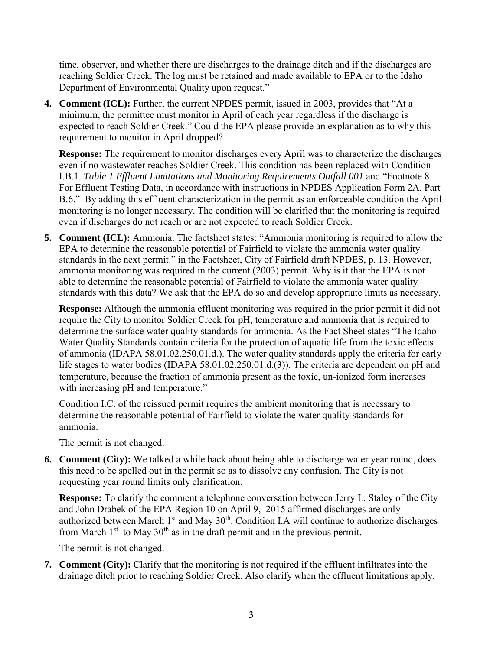time, observer, and whether there are discharges to the drainage ditch and if the discharges are reaching Soldier Creek. The log must be retained and made available to EPA or to the Idaho Department of Environmental Quality upon request."

**4. Comment (ICL):** Further, the current NPDES permit, issued in 2003, provides that "At a minimum, the permittee must monitor in April of each year regardless if the discharge is expected to reach Soldier Creek." Could the EPA please provide an explanation as to why this requirement to monitor in April dropped?

**Response:** The requirement to monitor discharges every April was to characterize the discharges even if no wastewater reaches Soldier Creek. This condition has been replaced with Condition I.B.1. *Table 1 Effluent Limitations and Monitoring Requirements Outfall 001* and "Footnote 8 For Effluent Testing Data, in accordance with instructions in NPDES Application Form 2A, Part B.6." By adding this effluent characterization in the permit as an enforceable condition the April monitoring is no longer necessary. The condition will be clarified that the monitoring is required even if discharges do not reach or are not expected to reach Soldier Creek.

**5. Comment (ICL):** Ammonia. The factsheet states: "Ammonia monitoring is required to allow the EPA to determine the reasonable potential of Fairfield to violate the ammonia water quality standards in the next permit." in the Factsheet, City of Fairfield draft NPDES, p. 13. However, ammonia monitoring was required in the current (2003) permit. Why is it that the EPA is not able to determine the reasonable potential of Fairfield to violate the ammonia water quality standards with this data? We ask that the EPA do so and develop appropriate limits as necessary.

**Response:** Although the ammonia effluent monitoring was required in the prior permit it did not require the City to monitor Soldier Creek for pH, temperature and ammonia that is required to determine the surface water quality standards for ammonia. As the Fact Sheet states "The Idaho Water Quality Standards contain criteria for the protection of aquatic life from the toxic effects of ammonia (IDAPA 58.01.02.250.01.d.). The water quality standards apply the criteria for early life stages to water bodies (IDAPA 58.01.02.250.01.d.(3)). The criteria are dependent on pH and temperature, because the fraction of ammonia present as the toxic, un-ionized form increases with increasing pH and temperature."

Condition I.C. of the reissued permit requires the ambient monitoring that is necessary to determine the reasonable potential of Fairfield to violate the water quality standards for ammonia.

The permit is not changed.

**6. Comment (City):** We talked a while back about being able to discharge water year round, does this need to be spelled out in the permit so as to dissolve any confusion. The City is not requesting year round limits only clarification.

**Response:** To clarify the comment a telephone conversation between Jerry L. Staley of the City and John Drabek of the EPA Region 10 on April 9, 2015 affirmed discharges are only authorized between March 1<sup>st</sup> and May 30<sup>th</sup>. Condition I.A will continue to authorize discharges from March  $1<sup>st</sup>$  to May  $30<sup>th</sup>$  as in the draft permit and in the previous permit.

The permit is not changed.

**7. Comment (City):** Clarify that the monitoring is not required if the effluent infiltrates into the drainage ditch prior to reaching Soldier Creek. Also clarify when the effluent limitations apply.